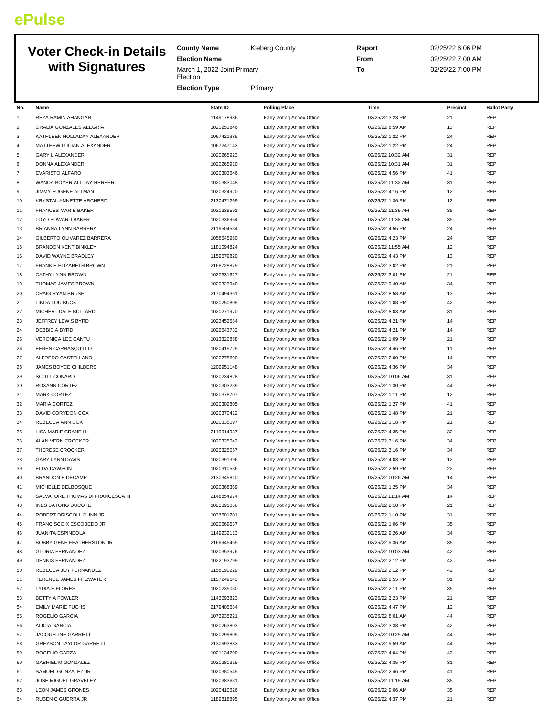## **ePulse**

## **Voter Check-in Details with Signatu**

| <b>Voter Check-in Details</b><br>with Signatures |                             | <b>County Name</b><br><b>Election Name</b> | <b>Kleberg County</b>            | Report<br>From    | 02/25/22 6:06 PM<br>02/25/22 7:00 AM |                     |
|--------------------------------------------------|-----------------------------|--------------------------------------------|----------------------------------|-------------------|--------------------------------------|---------------------|
|                                                  |                             | March 1, 2022 Joint Primary<br>Election    |                                  | To                | 02/25/22 7:00 PM                     |                     |
|                                                  |                             | <b>Election Type</b>                       | Primary                          |                   |                                      |                     |
| No.                                              | Name                        | <b>State ID</b>                            | <b>Polling Place</b>             | <b>Time</b>       | Precinct                             | <b>Ballot Party</b> |
|                                                  | <b>REZA RAMIN AHANGAR</b>   | 1149178986                                 | Early Voting Annex Office        | 02/25/22 3:23 PM  | 21                                   | <b>RFP</b>          |
| 2                                                | ORALIA GONZALES ALEGRIA     | 1020251846                                 | Early Voting Annex Office        | 02/25/22 8:59 AM  | 13                                   | <b>REP</b>          |
| 3                                                | KATHLEEN HOLLADAY ALEXANDER | 1067421985                                 | Early Voting Annex Office        | 02/25/22 1:22 PM  | 24                                   | <b>REP</b>          |
| 4                                                | MATTHEW LUCIAN ALEXANDER    | 1067247143                                 | Early Voting Annex Office        | 02/25/22 1:22 PM  | 24                                   | <b>RFP</b>          |
| 5                                                | <b>GARY L ALEXANDER</b>     | 1020265923                                 | Early Voting Annex Office        | 02/25/22 10:32 AM | 31                                   | <b>RFP</b>          |
| 6                                                | DONNA ALEXANDER             | 1020265910                                 | Early Voting Annex Office        | 02/25/22 10:31 AM | 31                                   | <b>RFP</b>          |
|                                                  | <b>EVARISTO ALFARO</b>      | 1020303646                                 | Early Voting Annex Office        | 02/25/22 4:56 PM  | 41                                   | <b>REP</b>          |
| 8                                                | WANDA BOYER ALLDAY-HERBERT  | 1020383048                                 | Early Voting Annex Office        | 02/25/22 11:32 AM | 31                                   | <b>RFP</b>          |
| 9                                                | <b>JIMMY EUGENE ALTMAN</b>  | 1020324920                                 | Early Voting Annex Office        | 02/25/22 4:16 PM  | 12                                   | <b>RFP</b>          |
| 10                                               | KRYSTAL ANNETTE ARCHERD     | 2130471269                                 | <b>Early Voting Annex Office</b> | 02/25/22 1:36 PM  | 12                                   | <b>RFP</b>          |

| 3  | KATHLEEN HOLLADAY ALEXANDER       | 1067421985               | Early Voting Annex Office                              | 02/25/22 1:22 PM                      | 24       | <b>REP</b>               |
|----|-----------------------------------|--------------------------|--------------------------------------------------------|---------------------------------------|----------|--------------------------|
| 4  | MATTHEW LUCIAN ALEXANDER          | 1067247143               | Early Voting Annex Office                              | 02/25/22 1:22 PM                      | 24       | <b>REP</b>               |
| 5  | <b>GARY L ALEXANDER</b>           | 1020265923               | Early Voting Annex Office                              | 02/25/22 10:32 AM                     | 31       | REP                      |
| 6  | DONNA ALEXANDER                   | 1020265910               | Early Voting Annex Office                              | 02/25/22 10:31 AM                     | 31       | REP                      |
| 7  | EVARISTO ALFARO                   | 1020303646               | Early Voting Annex Office                              | 02/25/22 4:56 PM                      | 41       | REP                      |
| 8  | WANDA BOYER ALLDAY-HERBERT        | 1020383048               | Early Voting Annex Office                              | 02/25/22 11:32 AM                     | 31       | REP                      |
| 9  | JIMMY EUGENE ALTMAN               | 1020324920               | Early Voting Annex Office                              | 02/25/22 4:16 PM                      | 12       | <b>REP</b>               |
| 10 | KRYSTAL ANNETTE ARCHERD           | 2130471269               | Early Voting Annex Office                              | 02/25/22 1:36 PM                      | 12       | REP                      |
| 11 | <b>FRANCES MARIE BAKER</b>        | 1020339591               | Early Voting Annex Office                              | 02/25/22 11:39 AM                     | 35       | REP                      |
| 12 | LOYD EDWARD BAKER                 | 1020336964               | Early Voting Annex Office                              | 02/25/22 11:38 AM                     | 35       | REP                      |
| 13 | <b>BRIANNA LYNN BARRERA</b>       | 2119504534               | Early Voting Annex Office                              | 02/25/22 4:55 PM                      | 24       | REP                      |
| 14 | GILBERTO OLIVAREZ BARRERA         | 1058545960               | Early Voting Annex Office                              | 02/25/22 4:23 PM                      | 24       | REP                      |
| 15 | <b>BRANDON KENT BINKLEY</b>       | 1181094824               | Early Voting Annex Office                              | 02/25/22 11:55 AM                     | 12       | REP                      |
| 16 | DAVID WAYNE BRADLEY               | 1159579820               | Early Voting Annex Office                              | 02/25/22 4:43 PM                      | 13       | <b>REP</b>               |
| 17 | FRANKIE ELIZABETH BROWN           | 2168728879               | Early Voting Annex Office                              | 02/25/22 3:02 PM                      | 21       | REP                      |
| 18 | CATHY LYNN BROWN                  | 1020331627               | Early Voting Annex Office                              | 02/25/22 3:01 PM                      | 21       | REP                      |
| 19 | THOMAS JAMES BROWN                | 1020323940               | Early Voting Annex Office                              | 02/25/22 9:40 AM                      | 34       | <b>REP</b>               |
| 20 | <b>CRAIG RYAN BRUSH</b>           | 2170494361               | Early Voting Annex Office                              | 02/25/22 8:58 AM                      | 13       | <b>REP</b>               |
| 21 | <b>LINDA LOU BUCK</b>             | 1020250809               | Early Voting Annex Office                              | 02/25/22 1:08 PM                      | 42       | REP                      |
| 22 | MICHEAL DALE BULLARD              | 1020271970               | Early Voting Annex Office                              | 02/25/22 8:03 AM                      | 31       | REP                      |
| 23 | JEFFREY LEWIS BYRD                | 1023452584               | Early Voting Annex Office                              | 02/25/22 4:21 PM                      | 14       | REP                      |
| 24 | DEBBIE A BYRD                     | 1022643732               | Early Voting Annex Office                              | 02/25/22 4:21 PM                      | 14       | REP                      |
| 25 | <b>VERONICA LEE CANTU</b>         | 1013320858               | Early Voting Annex Office                              | 02/25/22 1:09 PM                      | 21       | REP                      |
| 26 | EFREN CARRASQUILLO                | 1020415729               | Early Voting Annex Office                              | 02/25/22 4:46 PM                      | 11       | <b>REP</b>               |
| 27 | ALFREDO CASTELLANO                | 1020275690               | Early Voting Annex Office                              | 02/25/22 2:00 PM                      | 14       | REP                      |
| 28 | JAMES BOYCE CHILDERS              | 1202951148               | Early Voting Annex Office                              | 02/25/22 4:36 PM                      | 34       | REP                      |
| 29 | <b>SCOTT CONARD</b>               | 1020234828               | Early Voting Annex Office                              | 02/25/22 10:06 AM                     | 31       | <b>REP</b>               |
| 30 | ROXANN CORTEZ                     | 1020303239               | Early Voting Annex Office                              | 02/25/22 1:30 PM                      | 44       | <b>REP</b>               |
| 31 | <b>MARK CORTEZ</b>                | 1020378707               | Early Voting Annex Office                              | 02/25/22 1:11 PM                      | 12       | REP                      |
| 32 | <b>MARIA CORTEZ</b>               | 1020302805               | Early Voting Annex Office                              | 02/25/22 1:27 PM                      | 41       | <b>REP</b>               |
| 33 | DAVID CORYDON COX                 | 1020370412               | Early Voting Annex Office                              | 02/25/22 1:48 PM                      | 21       | REP                      |
| 34 | REBECCA ANN COX                   | 1020335097               | Early Voting Annex Office                              | 02/25/22 1:18 PM                      | 21       | <b>REP</b>               |
| 35 | <b>LISA MARIE CRANFILL</b>        | 2119914937               | Early Voting Annex Office                              | 02/25/22 4:35 PM                      | 32       | REP                      |
| 36 | ALAN VERN CROCKER                 | 1020325042               | Early Voting Annex Office                              | 02/25/22 3:16 PM                      | 34       | REP                      |
| 37 | THERESE CROCKER                   | 1020325057               | Early Voting Annex Office                              | 02/25/22 3:16 PM                      | 34       | REP                      |
| 38 | <b>GARY LYNN DAVIS</b>            | 1020391396               | Early Voting Annex Office                              | 02/25/22 4:03 PM                      | 12       | REP                      |
| 39 | <b>ELDA DAWSON</b>                | 1020310536               | Early Voting Annex Office                              | 02/25/22 2:59 PM                      | 22       | <b>REP</b>               |
|    | <b>BRANDON E DECAMP</b>           | 2130345810               |                                                        | 02/25/22 10:26 AM                     |          | <b>REP</b>               |
| 40 |                                   | 1020368369               | Early Voting Annex Office<br>Early Voting Annex Office | 02/25/22 1:25 PM                      | 14<br>34 | REP                      |
| 41 | MICHELLE DELBOSQUE                | 2148854974               |                                                        |                                       |          |                          |
| 42 | SALVATORE THOMAS DI FRANCESCA III | 1023391058               | Early Voting Annex Office                              | 02/25/22 11:14 AM                     | 14       | REP<br>REP               |
| 43 | <b>INES BATONG DUCOTE</b>         |                          | Early Voting Annex Office                              | 02/25/22 2:18 PM                      | 21       |                          |
| 44 | ROBERT DRISCOLL DUNN JR           | 1037601201               | Early Voting Annex Office                              | 02/25/22 1:10 PM                      | 31       | <b>REP</b>               |
| 45 | FRANCISCO X ESCOBEDO JR           | 1020669537               | Early Voting Annex Office                              | 02/25/22 1:06 PM<br>02/25/22 9:26 AM  | 35       | <b>REP</b><br><b>REP</b> |
| 46 | <b>JUANITA ESPINDOLA</b>          | 1149232113               | Early Voting Annex Office                              |                                       | 34       |                          |
| 47 | BOBBY GENE FEATHERSTON JR         | 2169945465<br>1020353976 | Early Voting Annex Office                              | 02/25/22 9:36 AM<br>02/25/22 10:03 AM | 35       | REP                      |
| 48 | <b>GLORIA FERNANDEZ</b>           |                          | Early Voting Annex Office                              |                                       | 42       | REP                      |
| 49 | <b>DENNIS FERNANDEZ</b>           | 1022193799               | Early Voting Annex Office                              | 02/25/22 2:12 PM                      | 42       | REP                      |
| 50 | REBECCA JOY FERNANDEZ             | 1158190229               | Early Voting Annex Office                              | 02/25/22 2:12 PM                      | 42       | REP                      |
| 51 | TERENCE JAMES FITZWATER           | 2157249643               | Early Voting Annex Office                              | 02/25/22 2:55 PM                      | 31       | REP                      |
| 52 | LYDIA E FLORES                    | 1020235030               | Early Voting Annex Office                              | 02/25/22 2:11 PM                      | 35       | REP                      |
| 53 | <b>BETTY A FOWLER</b>             | 1143093823               | Early Voting Annex Office                              | 02/25/22 3:23 PM                      | 21       | REP                      |
| 54 | <b>EMILY MARIE FUCHS</b>          | 2179405684               | Early Voting Annex Office                              | 02/25/22 4:47 PM                      | 12       | REP                      |
| 55 | ROGELIO GARCIA                    | 1073935221               | Early Voting Annex Office                              | 02/25/22 8:01 AM                      | 44       | REP                      |
| 56 | <b>ALICIA GARCIA</b>              | 1020263803               | Early Voting Annex Office                              | 02/25/22 3:38 PM                      | 42       | REP                      |
| 57 | JACQUELINE GARRETT                | 1020299805               | Early Voting Annex Office                              | 02/25/22 10:25 AM                     | 44       | REP                      |
| 58 | <b>GREYSON TAYLOR GARRETT</b>     | 2130693883               | Early Voting Annex Office                              | 02/25/22 9:59 AM                      | 44       | REP                      |
| 59 | ROGELIO GARZA                     | 1021134700               | Early Voting Annex Office                              | 02/25/22 4:04 PM                      | 43       | REP                      |
| 60 | <b>GABRIEL M GONZALEZ</b>         | 1020280319               | Early Voting Annex Office                              | 02/25/22 4:35 PM                      | 31       | <b>REP</b>               |
| 61 | SAMUEL GONZALEZ JR                | 1020380545               | Early Voting Annex Office                              | 02/25/22 2:46 PM                      | 41       | <b>REP</b>               |
| 62 | JOSE MIGUEL GRAVELEY              | 1020383631               | Early Voting Annex Office                              | 02/25/22 11:19 AM                     | 35       | <b>REP</b>               |
| 63 | LEON JAMES GRONES                 | 1020410626               | Early Voting Annex Office                              | 02/25/22 9:06 AM                      | 35       | <b>REP</b>               |
| 64 | RUBEN C GUERRA JR                 | 1189818895               | Early Voting Annex Office                              | 02/25/22 4:37 PM                      | 21       | <b>REP</b>               |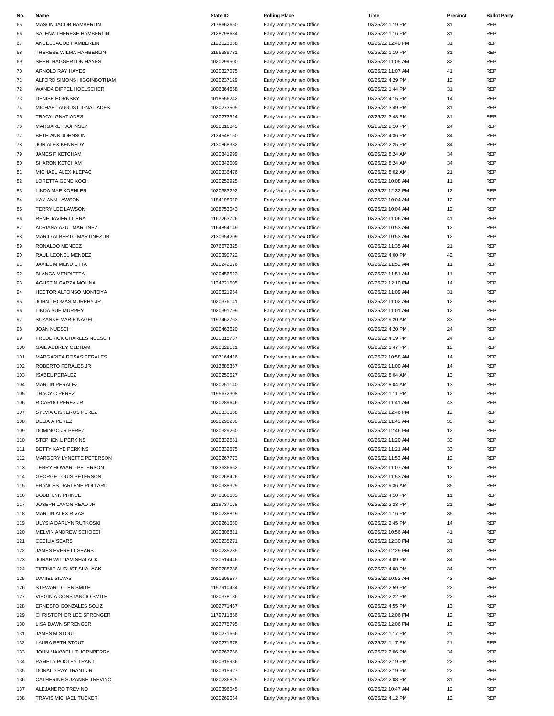| No. | Name                         | <b>State ID</b> | <b>Polling Place</b>      | Time              | Precinct | <b>Ballot Party</b> |
|-----|------------------------------|-----------------|---------------------------|-------------------|----------|---------------------|
| 65  | MASON JACOB HAMBERLIN        | 2178662650      | Early Voting Annex Office | 02/25/22 1:19 PM  | 31       | <b>REP</b>          |
| 66  | SALENA THERESE HAMBERLIN     | 2128798684      | Early Voting Annex Office | 02/25/22 1:16 PM  | 31       | <b>REP</b>          |
| 67  | ANCEL JACOB HAMBERLIN        | 2123023688      | Early Voting Annex Office | 02/25/22 12:40 PM | 31       | <b>REP</b>          |
|     | THERESE WILMA HAMBERLIN      | 2156389781      |                           | 02/25/22 1:19 PM  | 31       | <b>REP</b>          |
| 68  |                              |                 | Early Voting Annex Office |                   |          |                     |
| 69  | SHERI HAGGERTON HAYES        | 1020299500      | Early Voting Annex Office | 02/25/22 11:05 AM | 32       | <b>REP</b>          |
| 70  | ARNOLD RAY HAYES             | 1020327075      | Early Voting Annex Office | 02/25/22 11:07 AM | 41       | <b>REP</b>          |
| 71  | ALFORD SIMONS HIGGINBOTHAM   | 1020237129      | Early Voting Annex Office | 02/25/22 4:29 PM  | 12       | <b>REP</b>          |
| 72  | WANDA DIPPEL HOELSCHER       | 1006364558      | Early Voting Annex Office | 02/25/22 1:44 PM  | 31       | <b>REP</b>          |
| 73  | <b>DENISE HORNSBY</b>        | 1018556242      | Early Voting Annex Office | 02/25/22 4:15 PM  | 14       | <b>REP</b>          |
| 74  | MICHAEL AUGUST IGNATIADES    | 1020273505      | Early Voting Annex Office | 02/25/22 3:49 PM  | 31       | <b>REP</b>          |
| 75  | <b>TRACY IGNATIADES</b>      | 1020273514      | Early Voting Annex Office | 02/25/22 3:48 PM  | 31       | <b>REP</b>          |
| 76  | MARGARET JOHNSEY             | 1020316045      | Early Voting Annex Office | 02/25/22 2:10 PM  | 24       | <b>REP</b>          |
| 77  | BETH ANN JOHNSON             | 2134548150      | Early Voting Annex Office | 02/25/22 4:36 PM  | 34       | <b>REP</b>          |
| 78  | JON ALEX KENNEDY             | 2130868382      | Early Voting Annex Office | 02/25/22 2:25 PM  | 34       | <b>REP</b>          |
| 79  | JAMES F KETCHAM              | 1020341999      | Early Voting Annex Office | 02/25/22 8:24 AM  | 34       | <b>REP</b>          |
| 80  | SHARON KETCHAM               | 1020342009      | Early Voting Annex Office | 02/25/22 8:24 AM  | 34       | <b>REP</b>          |
| 81  | MICHAEL ALEX KLEPAC          | 1020336476      | Early Voting Annex Office | 02/25/22 8:02 AM  | 21       | <b>REP</b>          |
| 82  | LORETTA GENE KOCH            | 1020252925      | Early Voting Annex Office | 02/25/22 10:08 AM | 11       | <b>REP</b>          |
|     |                              |                 |                           |                   |          |                     |
| 83  | LINDA MAE KOEHLER            | 1020383292      | Early Voting Annex Office | 02/25/22 12:32 PM | 12       | <b>REP</b>          |
| 84  | <b>KAY ANN LAWSON</b>        | 1184198910      | Early Voting Annex Office | 02/25/22 10:04 AM | 12       | <b>REP</b>          |
| 85  | TERRY LEE LAWSON             | 1028753043      | Early Voting Annex Office | 02/25/22 10:04 AM | 12       | <b>REP</b>          |
| 86  | RENE JAVIER LOERA            | 1167263726      | Early Voting Annex Office | 02/25/22 11:06 AM | 41       | <b>REP</b>          |
| 87  | ADRIANA AZUL MARTINEZ        | 1164854149      | Early Voting Annex Office | 02/25/22 10:53 AM | 12       | <b>REP</b>          |
| 88  | MARIO ALBERTO MARTINEZ JR    | 2130354209      | Early Voting Annex Office | 02/25/22 10:53 AM | 12       | <b>REP</b>          |
| 89  | RONALDO MENDEZ               | 2076572325      | Early Voting Annex Office | 02/25/22 11:35 AM | 21       | <b>REP</b>          |
| 90  | RAUL LEONEL MENDEZ           | 1020390722      | Early Voting Annex Office | 02/25/22 4:00 PM  | 42       | <b>REP</b>          |
| 91  | JAVIEL M MENDIETTA           | 1020242076      | Early Voting Annex Office | 02/25/22 11:52 AM | 11       | <b>REP</b>          |
| 92  | <b>BLANCA MENDIETTA</b>      | 1020456523      | Early Voting Annex Office | 02/25/22 11:51 AM | 11       | <b>REP</b>          |
| 93  | AGUSTIN GARZA MOLINA         | 1134721505      | Early Voting Annex Office | 02/25/22 12:10 PM | 14       | <b>REP</b>          |
| 94  | HECTOR ALFONSO MONTOYA       | 1020821954      | Early Voting Annex Office | 02/25/22 11:09 AM | 31       | <b>REP</b>          |
| 95  | JOHN THOMAS MURPHY JR        | 1020376141      | Early Voting Annex Office | 02/25/22 11:02 AM | 12       | <b>REP</b>          |
|     | <b>LINDA SUE MURPHY</b>      | 1020391799      |                           | 02/25/22 11:01 AM | 12       | <b>REP</b>          |
| 96  |                              |                 | Early Voting Annex Office |                   |          |                     |
| 97  | SUZANNE MARIE NAGEL          | 1197462763      | Early Voting Annex Office | 02/25/22 9:20 AM  | 33       | <b>REP</b>          |
| 98  | <b>JOAN NUESCH</b>           | 1020463620      | Early Voting Annex Office | 02/25/22 4:20 PM  | 24       | <b>REP</b>          |
| 99  | FREDERICK CHARLES NUESCH     | 1020315737      | Early Voting Annex Office | 02/25/22 4:19 PM  | 24       | <b>REP</b>          |
| 100 | GAIL AUBREY OLDHAM           | 1020329111      | Early Voting Annex Office | 02/25/22 1:47 PM  | 12       | <b>REP</b>          |
| 101 | MARGARITA ROSAS PERALES      | 1007164416      | Early Voting Annex Office | 02/25/22 10:58 AM | 14       | <b>REP</b>          |
| 102 | ROBERTO PERALES JR           | 1013885357      | Early Voting Annex Office | 02/25/22 11:00 AM | 14       | <b>REP</b>          |
| 103 | <b>ISABEL PERALEZ</b>        | 1020250527      | Early Voting Annex Office | 02/25/22 8:04 AM  | 13       | <b>REP</b>          |
| 104 | <b>MARTIN PERALEZ</b>        | 1020251140      | Early Voting Annex Office | 02/25/22 8:04 AM  | 13       | <b>REP</b>          |
| 105 | TRACY C PEREZ                | 1195672308      | Early Voting Annex Office | 02/25/22 1:11 PM  | 12       | <b>REP</b>          |
| 106 | RICARDO PEREZ JR             | 1020289646      | Early Voting Annex Office | 02/25/22 11:41 AM | 43       | <b>REP</b>          |
| 107 | SYLVIA CISNEROS PEREZ        | 1020330688      | Early Voting Annex Office | 02/25/22 12:46 PM | 12       | <b>REP</b>          |
| 108 | DELIA A PEREZ                | 1020290230      | Early Voting Annex Office | 02/25/22 11:43 AM | 33       | <b>REP</b>          |
| 109 | DOMINGO JR PEREZ             | 1020329260      | Early Voting Annex Office | 02/25/22 12:46 PM | 12       | <b>REP</b>          |
| 110 | STEPHEN L PERKINS            | 1020332581      | Early Voting Annex Office | 02/25/22 11:20 AM | 33       | REP                 |
| 111 | BETTY KAYE PERKINS           | 1020332575      | Early Voting Annex Office | 02/25/22 11:21 AM | 33       | <b>REP</b>          |
|     | MARGERY LYNETTE PETERSON     | 1020267773      | Early Voting Annex Office | 02/25/22 11:53 AM | 12       | <b>REP</b>          |
| 112 |                              |                 |                           | 02/25/22 11:07 AM |          |                     |
| 113 | TERRY HOWARD PETERSON        | 1023636662      | Early Voting Annex Office |                   | 12       | <b>REP</b>          |
| 114 | <b>GEORGE LOUIS PETERSON</b> | 1020268426      | Early Voting Annex Office | 02/25/22 11:53 AM | 12       | <b>REP</b>          |
| 115 | FRANCES DARLENE POLLARD      | 1020338329      | Early Voting Annex Office | 02/25/22 9:36 AM  | 35       | REP                 |
| 116 | <b>BOBBI LYN PRINCE</b>      | 1070868683      | Early Voting Annex Office | 02/25/22 4:10 PM  | 11       | <b>REP</b>          |
| 117 | JOSEPH LAVON READ JR         | 2119737178      | Early Voting Annex Office | 02/25/22 2:23 PM  | 21       | <b>REP</b>          |
| 118 | <b>MARTIN ALEX RIVAS</b>     | 1020238819      | Early Voting Annex Office | 02/25/22 1:16 PM  | 35       | <b>REP</b>          |
| 119 | ULYSIA DARLYN RUTKOSKI       | 1039261680      | Early Voting Annex Office | 02/25/22 2:45 PM  | 14       | <b>REP</b>          |
| 120 | MELVIN ANDREW SCHOECH        | 1020306811      | Early Voting Annex Office | 02/25/22 10:56 AM | 41       | REP                 |
| 121 | <b>CECILIA SEARS</b>         | 1020235271      | Early Voting Annex Office | 02/25/22 12:30 PM | 31       | <b>REP</b>          |
| 122 | JAMES EVERETT SEARS          | 1020235285      | Early Voting Annex Office | 02/25/22 12:29 PM | 31       | <b>REP</b>          |
| 123 | JONAH WILLIAM SHALACK        | 1220514446      | Early Voting Annex Office | 02/25/22 4:09 PM  | 34       | <b>REP</b>          |
| 124 | TIFFINIE AUGUST SHALACK      | 2000288286      | Early Voting Annex Office | 02/25/22 4:08 PM  | 34       | <b>REP</b>          |
| 125 | DANIEL SILVAS                | 1020306587      | Early Voting Annex Office | 02/25/22 10:52 AM | 43       | REP                 |
| 126 | STEWART OLEN SMITH           | 1157910434      | Early Voting Annex Office | 02/25/22 2:59 PM  | 22       | <b>REP</b>          |
|     |                              | 1020378186      |                           | 02/25/22 2:22 PM  | 22       | <b>REP</b>          |
| 127 | VIRGINIA CONSTANCIO SMITH    |                 | Early Voting Annex Office |                   |          |                     |
| 128 | ERNESTO GONZALES SOLIZ       | 1002771467      | Early Voting Annex Office | 02/25/22 4:55 PM  | 13       | <b>REP</b>          |
| 129 | CHRISTOPHER LEE SPRENGER     | 1179711856      | Early Voting Annex Office | 02/25/22 12:06 PM | 12       | <b>REP</b>          |
| 130 | LISA DAWN SPRENGER           | 1023775795      | Early Voting Annex Office | 02/25/22 12:06 PM | 12       | REP                 |
| 131 | JAMES M STOUT                | 1020271666      | Early Voting Annex Office | 02/25/22 1:17 PM  | 21       | <b>REP</b>          |
| 132 | LAURA BETH STOUT             | 1020271678      | Early Voting Annex Office | 02/25/22 1:17 PM  | 21       | <b>REP</b>          |
| 133 | JOHN MAXWELL THORNBERRY      | 1039262266      | Early Voting Annex Office | 02/25/22 2:06 PM  | 34       | <b>REP</b>          |
| 134 | PAMELA POOLEY TRANT          | 1020315936      | Early Voting Annex Office | 02/25/22 2:19 PM  | 22       | <b>REP</b>          |
| 135 | DONALD RAY TRANT JR          | 1020315927      | Early Voting Annex Office | 02/25/22 2:19 PM  | 22       | <b>REP</b>          |
| 136 | CATHERINE SUZANNE TREVINO    | 1020236825      | Early Voting Annex Office | 02/25/22 2:08 PM  | 31       | <b>REP</b>          |
| 137 | ALEJANDRO TREVINO            | 1020396645      | Early Voting Annex Office | 02/25/22 10:47 AM | 12       | <b>REP</b>          |
| 138 | TRAVIS MICHAEL TUCKER        | 1020269054      | Early Voting Annex Office | 02/25/22 4:12 PM  | 12       | REP                 |